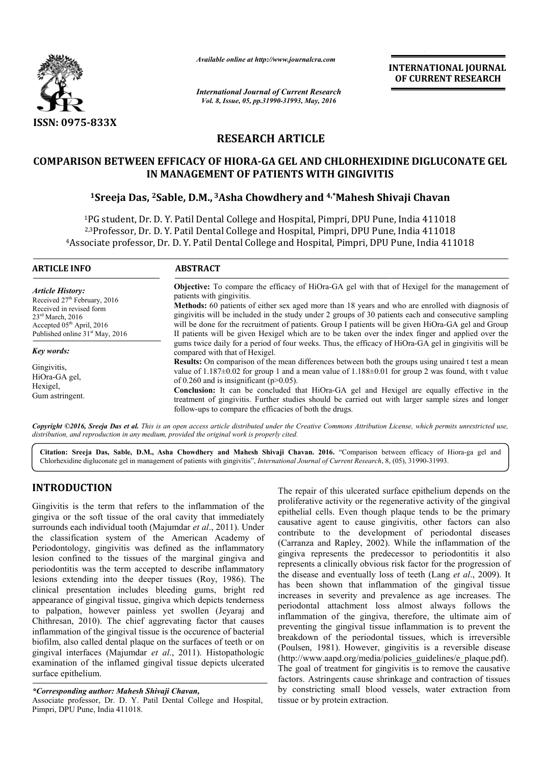

*Available online at http://www.journalcra.com*

*International Journal of Current Research Vol. 8, Issue, 05, pp.31990-31993, May, 2016*

**INTERNATIONAL JOURNAL OF CURRENT RESEARCH** 

# **RESEARCH ARTICLE**

# **COMPARISON BETWEEN EFFICACY OF HIORA HIORA-GA GEL AND CHLORHEXIDINE DIGLUCONATE GEL IN MANAGEMENT OF PATIENTS WITH GINGIVITIS** IN BETWEEN EFFICACY OF HIORA-GA GEL AND CHLORHEXIDINE DIGLUC<br>IN MANAGEMENT OF PATIENTS WITH GINGIVITIS<br><sup>1</sup>Sreeja Das, <sup>2</sup>Sable, D.M., <sup>3</sup>Asha Chowdhery and <sup>4,\*</sup>Mahesh Shivaji Chavan

1PG student, Dr. D. Y. Patil Dental College and Hospital, Pimpri, DPU Pune, India 411018 2,3Professor, Dr. D. Y. Patil Dental College and Hospital, Pimpri, DPU Pune, India 411018 4Associate professor, Dr. D. Y. Patil Dental College and Hospital, Pimpri, DPU Pune, India 411018 <sup>1</sup>PG student, Dr. D. Y. Patil Dental College and<br><sup>2,3</sup>Professor, Dr. D. Y. Patil Dental College and<br>Associate professor, Dr. D. Y. Patil Dental College G student, Dr. D. Y. Patil Dental College and Hospital, Pimpri, DPU Pune, India 411018<br>Professor, Dr. D. Y. Patil Dental College and Hospital, Pimpri, DPU Pune, India 411018<br>:iate professor, Dr. D. Y. Patil Dental College

| <b>ARTICLE INFO</b>                                                                                                                                                                                           | <b>ABSTRACT</b>                                                                                                                                                                                                                                                                                                                                                                                                                                                                                                                                                                                                                                                                         |  |
|---------------------------------------------------------------------------------------------------------------------------------------------------------------------------------------------------------------|-----------------------------------------------------------------------------------------------------------------------------------------------------------------------------------------------------------------------------------------------------------------------------------------------------------------------------------------------------------------------------------------------------------------------------------------------------------------------------------------------------------------------------------------------------------------------------------------------------------------------------------------------------------------------------------------|--|
| <b>Article History:</b><br>Received 27 <sup>th</sup> February, 2016<br>Received in revised form<br>$23rd$ March, 2016<br>Accepted 05 <sup>th</sup> April, 2016<br>Published online 31 <sup>st</sup> May, 2016 | <b>Objective:</b> To compare the efficacy of HiOra-GA gel with that of Hexigel for the management of<br>patients with gingivitis.<br>Methods: 60 patients of either sex aged more than 18 years and who are enrolled with diagnosis of<br>gingivitis will be included in the study under 2 groups of 30 patients each and consecutive sampling<br>will be done for the recruitment of patients. Group I patients will be given HiOra-GA gel and Group<br>II patients will be given Hexigel which are to be taken over the index finger and applied over the                                                                                                                             |  |
| Key words:<br>Gingivitis.<br>HiOra-GA gel,<br>Hexigel,<br>Gum astringent.                                                                                                                                     | gums twice daily for a period of four weeks. Thus, the efficacy of HiOra-GA gel in gingivitis will be<br>compared with that of Hexigel.<br><b>Results:</b> On comparison of the mean differences between both the groups using unaired t test a mean<br>value of $1.187\pm0.02$ for group 1 and a mean value of $1.188\pm0.01$ for group 2 was found, with t value<br>of 0.260 and is insignificant ( $p>0.05$ ).<br><b>Conclusion:</b> It can be concluded that HiOra-GA gel and Hexigel are equally effective in the<br>treatment of gingivitis. Further studies should be carried out with larger sample sizes and longer<br>follow-ups to compare the efficacies of both the drugs. |  |

*Copyright ©2016, Sreeja Das et al. This is an open access article distributed under the Creative Commons Att Attribution License, which ribution permits unrestricted use, distribution, and reproduction in any medium, provided the original work is properly cited.*

Citation: Sreeja Das, Sable, D.M., Asha Chowdhery and Mahesh Shivaji Chavan. 2016. "Comparison between efficacy of Hiora-ga gel and Chlorhexidine digluconate gel in management of patients with gingivitis", *International Journal of Current Research*, 8, (05), 31990-31993.

# **INTRODUCTION**

Gingivitis is the term that refers to the inflammation of the gingiva or the soft tissue of the oral cavity that immediately surrounds each individual tooth (Majumdar *et al* ., 2011). Under the classification system of the American Academy of Periodontology, gingivitis was defined as the inflammatory lesion confined to the tissues of the marginal gingiva and periodontitis was the term accepted to describe inflammatory lesions extending into the deeper tissues (Roy, 1986). The clinical presentation includes bleeding gums, bright red appearance of gingival tissue, gingiva which depicts tenderness to palpation, however painless yet swollen (Jeyaraj and Chithresan, 2010). The chief aggrevating factor that causes inflammation of the gingival tissue is the occurence of bacterial biofilm, also called dental plaque on the surfaces of teeth or on gingival interfaces (Majumdar *et al*., 2011) 2011). Histopathologic examination of the inflamed gingival tissue depicts ulcerated surface epithelium.

#### *\*Corresponding author: Mahesh Shivaji Chavan Chavan,*

Associate professor, Dr. D. Y. Patil Dental College and Hospital, Pimpri, DPU Pune, India 411018.

The repair of this ulcerated surface epithelium depends on the proliferative activity or the regenerative activity of the gingival epithelial cells. Even though plaque tends to be the primary causative agent to cause gingivitis, other factors can also contribute to the development of periodontal diseases (Carranza and Rapley, 2002). While the inflammation of the gingiva represents the predecessor to periodontitis it also represents a clinically obvious risk factor for the progression of the disease and eventually loss of teeth (Lang et al., 2009). It has been shown that inflammation of the gingival tissue increases in severity and prevalence as age increases. The periodontal attachment loss almost always follows the inflammation of the gingiva, therefore, the ultimate aim of preventing the gingival tissue inflammation is to prevent the breakdown of the periodontal tissues, which is irreversible (Poulsen, 1981). However, gingivitis is a reversible disease (http://www.aapd.org/media/policies\_guidelines/e\_plaque.pdf http://www.aapd.org/media/policies\_guidelines/e\_plaque.pdf). The goal of treatment for gingivitis is to remove the causative factors. Astringents cause shrinkage and contraction of tissues by constricting small blood vessels, water extraction from tissue or by protein extraction. ir of this ulcerated surface epithelium depends on the tive activity or the regenerative activity of the gingival cells. Even though plaque tends to be the primary agent to cause gingivitis, other factors can also e to th shown that inflammation of the gingival tissue<br>in severity and prevalence as age increases. The<br>in attachment loss almost always follows the<br>ion of the gingiva, therefore, the ultimate aim of **INTERNATIONAL IOURNAL CONSTRAT CONSTRAT CONSTRAT CONSTRAT CONSTRAT CONSTRAT CONSTRAT CONSTRAT CONSTRAT CONSTRAT CONSTRAT CONSTRAT CONSTRAT CONSTRAT CONSTRAT CONSTRAT CONSTRAT GUINE (FITTE GINGTIVITIS (1)**  $\mu$ **,**  $\mu$  **mpp**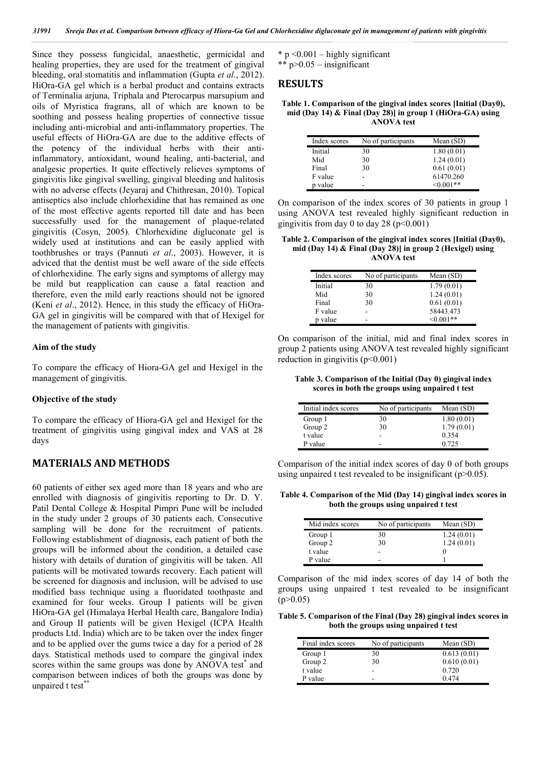Since they possess fungicidal, anaesthetic, germicidal and healing properties, they are used for the treatment of gingival bleeding, oral stomatitis and inflammation (Gupta *et al*., 2012). HiOra-GA gel which is a herbal product and contains extracts of Terminalia arjuna, Triphala and Pterocarpus marsupium and oils of Myristica fragrans, all of which are known to be soothing and possess healing properties of connective tissue including anti-microbial and anti-inflammatory properties. The useful effects of HiOra-GA are due to the additive effects of the potency of the individual herbs with their antiinflammatory, antioxidant, wound healing, anti-bacterial, and analgesic properties. It quite effectively relieves symptoms of gingivitis like gingival swelling, gingival bleeding and halitosis with no adverse effects (Jeyaraj and Chithresan, 2010). Topical antiseptics also include chlorhexidine that has remained as one of the most effective agents reported till date and has been successfully used for the management of plaque-related gingivitis (Cosyn, 2005). Chlorhexidine digluconate gel is widely used at institutions and can be easily applied with toothbrushes or trays (Pannuti *et al*., 2003). However, it is adviced that the dentist must be well aware of the side effects of chlorhexidine. The early signs and symptoms of allergy may be mild but reapplication can cause a fatal reaction and therefore, even the mild early reactions should not be ignored (Keni *et al*., 2012). Hence, in this study the efficacy of HiOra-GA gel in gingivitis will be compared with that of Hexigel for the management of patients with gingivitis.

#### **Aim of the study**

To compare the efficacy of Hiora-GA gel and Hexigel in the management of gingivitis.

#### **Objective of the study**

To compare the efficacy of Hiora-GA gel and Hexigel for the treatment of gingivitis using gingival index and VAS at 28 days

### **MATERIALS AND METHODS**

60 patients of either sex aged more than 18 years and who are enrolled with diagnosis of gingivitis reporting to Dr. D. Y. Patil Dental College & Hospital Pimpri Pune will be included in the study under 2 groups of 30 patients each. Consecutive sampling will be done for the recruitment of patients. Following establishment of diagnosis, each patient of both the groups will be informed about the condition, a detailed case history with details of duration of gingivitis will be taken. All patients will be motivated towards recovery. Each patient will be screened for diagnosis and inclusion, will be advised to use modified bass technique using a fluoridated toothpaste and examined for four weeks. Group I patients will be given HiOra-GA gel (Himalaya Herbal Health care, Bangalore India) and Group II patients will be given Hexigel (ICPA Health products Ltd. India) which are to be taken over the index finger and to be applied over the gums twice a day for a period of 28 days. Statistical methods used to compare the gingival index scores within the same groups was done by ANOVA test<sup>\*</sup> and comparison between indices of both the groups was done by unpaired t test\*\*

 $*$  p < 0.001 – highly significant \*\* p>0.05 – insignificant

#### **RESULTS**

**Table 1. Comparison of the gingival index scores [Initial (Day0), mid (Day 14) & Final (Day 28)] in group 1 (HiOra-GA) using ANOVA test**

| Index scores | No of participants | Mean $(SD)$ |
|--------------|--------------------|-------------|
| Initial      | 30                 | 1.80(0.01)  |
| Mid          | 30                 | 1.24(0.01)  |
| Final        | 30                 | 0.61(0.01)  |
| F value      |                    | 61470.260   |
| p value      | -                  | $<0.001**$  |

On comparison of the index scores of 30 patients in group 1 using ANOVA test revealed highly significant reduction in gingivitis from day 0 to day 28 ( $p<0.001$ )

**Table 2. Comparison of the gingival index scores [Initial (Day0), mid (Day 14) & Final (Day 28)] in group 2 (Hexigel) using ANOVA test**

| Index scores | No of participants | Mean $(SD)$ |
|--------------|--------------------|-------------|
| Initial      | 30                 | 1.79(0.01)  |
| Mid          | 30                 | 1.24(0.01)  |
| Final        | 30                 | 0.61(0.01)  |
| F value      | ۰                  | 58443.473   |
| p value      | -                  | $< 0.001**$ |

On comparison of the initial, mid and final index scores in group 2 patients using ANOVA test revealed highly significant reduction in gingivitis  $(p<0.001)$ 

**Table 3. Comparison of the Initial (Day 0) gingival index scores in both the groups using unpaired t test**

| Initial index scores | No of participants | Mean (SD)  |
|----------------------|--------------------|------------|
| Group 1              | 30                 | 1.80(0.01) |
| Group 2              | 30                 | 1.79(0.01) |
| t value              | -                  | 0.354      |
| P value              | -                  | 0.725      |

Comparison of the initial index scores of day 0 of both groups using unpaired t test revealed to be insignificant  $(p>0.05)$ .

**Table 4. Comparison of the Mid (Day 14) gingival index scores in both the groups using unpaired t test**

| Mid index scores | No of participants | Mean $(SD)$ |
|------------------|--------------------|-------------|
| Group 1          | 30                 | 1.24(0.01)  |
| Group 2          | 30                 | 1.24(0.01)  |
| t value          | -                  |             |
| P value          | -                  |             |

Comparison of the mid index scores of day 14 of both the groups using unpaired t test revealed to be insignificant  $(p>0.05)$ 

**Table 5. Comparison of the Final (Day 28) gingival index scores in both the groups using unpaired t test**

| Final index scores | No of participants | Mean (SD)   |
|--------------------|--------------------|-------------|
| Group 1            | 30                 | 0.613(0.01) |
| Group 2            | 30                 | 0.610(0.01) |
| t value            | $\overline{ }$     | 0.720       |
| P value            | ۰                  | 0474        |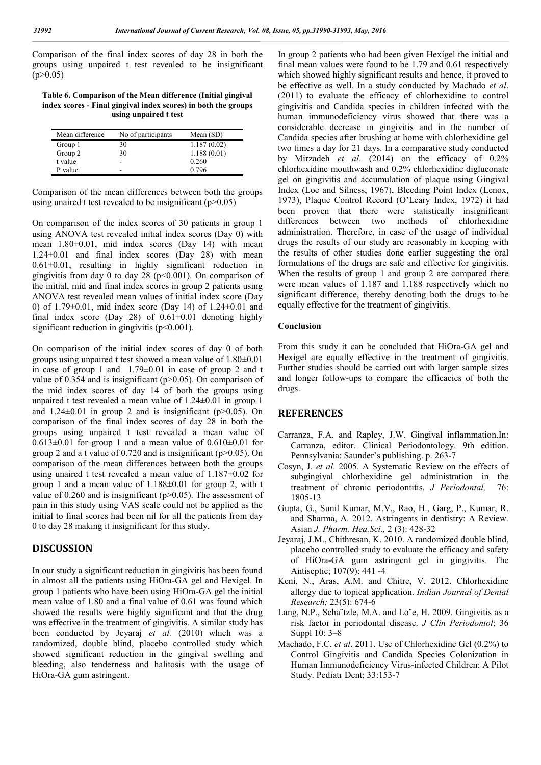Comparison of the final index scores of day 28 in both the groups using unpaired t test revealed to be insignificant  $(p>0.05)$ 

**Table 6. Comparison of the Mean difference (Initial gingival index scores - Final gingival index scores) in both the groups using unpaired t test**

| Mean difference | No of participants           | Mean $(SD)$ |
|-----------------|------------------------------|-------------|
| Group 1         | 30                           | 1.187(0.02) |
| Group 2         | 30                           | 1.188(0.01) |
| t value         | $\qquad \qquad \blacksquare$ | 0.260       |
| P value         | ۰                            | 0.796       |

Comparison of the mean differences between both the groups using unaired t test revealed to be insignificant  $(p>0.05)$ 

On comparison of the index scores of 30 patients in group 1 using ANOVA test revealed initial index scores (Day 0) with mean 1.80±0.01, mid index scores (Day 14) with mean  $1.24\pm0.01$  and final index scores  $(Da\overline{v} 28)$  with mean  $0.61\pm0.01$ , resulting in highly significant reduction in gingivitis from day 0 to day 28 ( $p \le 0.001$ ). On comparison of the initial, mid and final index scores in group 2 patients using ANOVA test revealed mean values of initial index score (Day 0) of 1.79±0.01, mid index score (Day 14) of 1.24±0.01 and final index score (Day 28) of  $0.61\pm0.01$  denoting highly significant reduction in gingivitis  $(p<0.001)$ .

On comparison of the initial index scores of day 0 of both groups using unpaired t test showed a mean value of 1.80±0.01 in case of group 1 and  $1.79\pm0.01$  in case of group 2 and t value of 0.354 and is insignificant ( $p > 0.05$ ). On comparison of the mid index scores of day 14 of both the groups using unpaired t test revealed a mean value of 1.24±0.01 in group 1 and  $1.24 \pm 0.01$  in group 2 and is insignificant (p>0.05). On comparison of the final index scores of day 28 in both the groups using unpaired t test revealed a mean value of  $0.613\pm0.01$  for group 1 and a mean value of  $0.610\pm0.01$  for group 2 and a t value of  $0.720$  and is insignificant (p $>0.05$ ). On comparison of the mean differences between both the groups using unaired t test revealed a mean value of 1.187±0.02 for group 1 and a mean value of 1.188±0.01 for group 2, with t value of 0.260 and is insignificant ( $p$ >0.05). The assessment of pain in this study using VAS scale could not be applied as the initial to final scores had been nil for all the patients from day 0 to day 28 making it insignificant for this study.

## **DISCUSSION**

In our study a significant reduction in gingivitis has been found in almost all the patients using HiOra-GA gel and Hexigel. In group 1 patients who have been using HiOra-GA gel the initial mean value of 1.80 and a final value of 0.61 was found which showed the results were highly significant and that the drug was effective in the treatment of gingivitis. A similar study has been conducted by Jeyaraj *et al.* (2010) which was a randomized, double blind, placebo controlled study which showed significant reduction in the gingival swelling and bleeding, also tenderness and halitosis with the usage of HiOra-GA gum astringent.

In group 2 patients who had been given Hexigel the initial and final mean values were found to be 1.79 and 0.61 respectively which showed highly significant results and hence, it proved to be effective as well. In a study conducted by Machado *et al*. (2011) to evaluate the efficacy of chlorhexidine to control gingivitis and Candida species in children infected with the human immunodeficiency virus showed that there was a considerable decrease in gingivitis and in the number of Candida species after brushing at home with chlorhexidine gel two times a day for 21 days. In a comparative study conducted by Mirzadeh *et al*. (2014) on the efficacy of 0.2% chlorhexidine mouthwash and 0.2% chlorhexidine digluconate gel on gingivitis and accumulation of plaque using Gingival Index (Loe and Silness, 1967), Bleeding Point Index (Lenox, 1973), Plaque Control Record (O'Leary Index, 1972) it had been proven that there were statistically insignificant differences between two methods of chlorhexidine administration. Therefore, in case of the usage of individual drugs the results of our study are reasonably in keeping with the results of other studies done earlier suggesting the oral formulations of the drugs are safe and effective for gingivitis. When the results of group 1 and group 2 are compared there were mean values of 1.187 and 1.188 respectively which no significant difference, thereby denoting both the drugs to be equally effective for the treatment of gingivitis.

#### **Conclusion**

From this study it can be concluded that HiOra-GA gel and Hexigel are equally effective in the treatment of gingivitis. Further studies should be carried out with larger sample sizes and longer follow-ups to compare the efficacies of both the drugs.

# **REFERENCES**

- Carranza, F.A. and Rapley, J.W. Gingival inflammation.In: Carranza, editor. Clinical Periodontology. 9th edition. Pennsylvania: Saunder's publishing. p. 263-7
- Cosyn, J. *et al*. 2005. A Systematic Review on the effects of subgingival chlorhexidine gel administration in the treatment of chronic periodontitis. *J Periodontal,* 76: 1805-13
- Gupta, G., Sunil Kumar, M.V., Rao, H., Garg, P., Kumar, R. and Sharma, A. 2012. Astringents in dentistry: A Review. Asian *J. Pharm. Hea.Sci.,* 2 (3): 428-32
- Jeyaraj, J.M., Chithresan, K. 2010. A randomized double blind, placebo controlled study to evaluate the efficacy and safety of HiOra-GA gum astringent gel in gingivitis. The Antiseptic; 107(9): 441 -4
- Keni, N., Aras, A.M. and Chitre, V. 2012. Chlorhexidine allergy due to topical application. *Indian Journal of Dental Research;* 23(5): 674-6
- Lang, N.P., Scha¨tzle, M.A. and Lo¨e, H. 2009. Gingivitis as a risk factor in periodontal disease. *J Clin Periodontol*; 36 Suppl 10: 3–8
- Machado, F.C. *et al*. 2011. Use of Chlorhexidine Gel (0.2%) to Control Gingivitis and Candida Species Colonization in Human Immunodeficiency Virus-infected Children: A Pilot Study. Pediatr Dent; 33:153-7